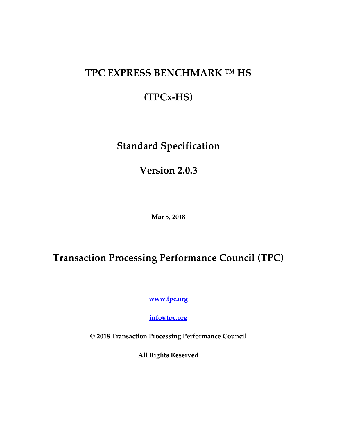# **TPC EXPRESS BENCHMARK ™ HS**

# **(TPCx-HS)**

# **Standard Specification**

**Version 2.0.3**

**Mar 5, 2018**

# <span id="page-0-0"></span>**Transaction Processing Performance Council (TPC)**

**[www.tpc.org](http://www.tcp.org/)**

**[info@tpc.org](mailto:info@tpc.org)**

**© 2018 Transaction Processing Performance Council**

**All Rights Reserved**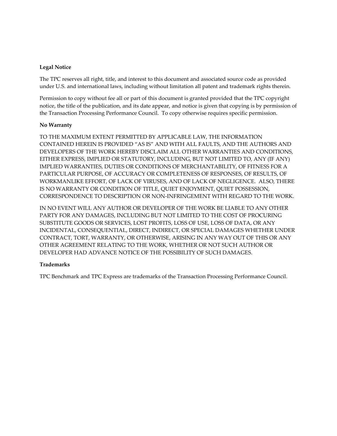#### **Legal Notice**

The TPC reserves all right, title, and interest to this document and associated source code as provided under U.S. and international laws, including without limitation all patent and trademark rights therein.

Permission to copy without fee all or part of this document is granted provided that the TPC copyright notice, the title of the publication, and its date appear, and notice is given that copying is by permission of the Transaction Processing Performance Council. To copy otherwise requires specific permission.

#### **No Warranty**

TO THE MAXIMUM EXTENT PERMITTED BY APPLICABLE LAW, THE INFORMATION CONTAINED HEREIN IS PROVIDED "AS IS" AND WITH ALL FAULTS, AND THE AUTHORS AND DEVELOPERS OF THE WORK HEREBY DISCLAIM ALL OTHER WARRANTIES AND CONDITIONS, EITHER EXPRESS, IMPLIED OR STATUTORY, INCLUDING, BUT NOT LIMITED TO, ANY (IF ANY) IMPLIED WARRANTIES, DUTIES OR CONDITIONS OF MERCHANTABILITY, OF FITNESS FOR A PARTICULAR PURPOSE, OF ACCURACY OR COMPLETENESS OF RESPONSES, OF RESULTS, OF WORKMANLIKE EFFORT, OF LACK OF VIRUSES, AND OF LACK OF NEGLIGENCE. ALSO, THERE IS NO WARRANTY OR CONDITION OF TITLE, QUIET ENJOYMENT, QUIET POSSESSION, CORRESPONDENCE TO DESCRIPTION OR NON-INFRINGEMENT WITH REGARD TO THE WORK.

IN NO EVENT WILL ANY AUTHOR OR DEVELOPER OF THE WORK BE LIABLE TO ANY OTHER PARTY FOR ANY DAMAGES, INCLUDING BUT NOT LIMITED TO THE COST OF PROCURING SUBSTITUTE GOODS OR SERVICES, LOST PROFITS, LOSS OF USE, LOSS OF DATA, OR ANY INCIDENTAL, CONSEQUENTIAL, DIRECT, INDIRECT, OR SPECIAL DAMAGES WHETHER UNDER CONTRACT, TORT, WARRANTY, OR OTHERWISE, ARISING IN ANY WAY OUT OF THIS OR ANY OTHER AGREEMENT RELATING TO THE WORK, WHETHER OR NOT SUCH AUTHOR OR DEVELOPER HAD ADVANCE NOTICE OF THE POSSIBILITY OF SUCH DAMAGES.

#### **Trademarks**

TPC Benchmark and TPC Express are trademarks of the Transaction Processing Performance Council.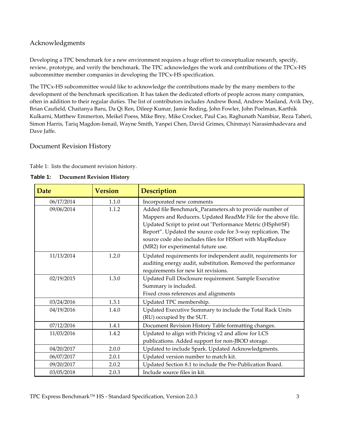## <span id="page-2-1"></span>Acknowledgments

Developing a TPC benchmark for a new environment requires a huge effort to conceptualize research, specify, review, prototype, and verify the benchmark. The TPC acknowledges the work and contributions of the TPCx-HS subcommittee member companies in developing the TPCx-HS specification.

The TPCx-HS subcommittee would like to acknowledge the contributions made by the many members to the development of the benchmark specification. It has taken the dedicated efforts of people across many companies, often in addition to their regular duties. The list of contributors includes Andrew Bond, Andrew Masland, Avik Dey, Brian Caufield, Chaitanya Baru, Da Qi Ren, Dileep Kumar, Jamie Reding, John Fowler, John Poelman, Karthik Kulkarni, Matthew Emmerton, Meikel Poess, Mike Brey, Mike Crocker, Paul Cao, Raghunath Nambiar, Reza Taheri, Simon Harris, Tariq Magdon-Ismail, Wayne Smith, Yanpei Chen, David Grimes, Chinmayi Narasimhadevara and Dave Jaffe.

### <span id="page-2-2"></span>Document Revision History

[Table 1:](#page-2-0) lists the document revision history.

| <b>Date</b> | <b>Version</b> | <b>Description</b>                                                                                                                                                                                                                                                                                                                                      |
|-------------|----------------|---------------------------------------------------------------------------------------------------------------------------------------------------------------------------------------------------------------------------------------------------------------------------------------------------------------------------------------------------------|
| 06/17/2014  | 1.1.0          | Incorporated new comments                                                                                                                                                                                                                                                                                                                               |
| 09/06/2014  | 1.1.2          | Added file Benchmark_Parameters.sh to provide number of<br>Mappers and Reducers. Updated ReadMe File for the above file.<br>Updated Script to print out "Performance Metric (HSph@SF)<br>Report". Updated the source code for 3-way replication. The<br>source code also includes files for HSSort with MapReduce<br>(MR2) for experimental future use. |
| 11/13/2014  | 1.2.0          | Updated requirements for independent audit, requirements for<br>auditing energy audit, substitution. Removed the performance<br>requirements for new kit revisions.                                                                                                                                                                                     |
| 02/19/2015  | 1.3.0          | Updated Full Disclosure requirement. Sample Executive<br>Summary is included.<br>Fixed cross references and alignments                                                                                                                                                                                                                                  |
| 03/24/2016  | 1.3.1          | Updated TPC membership.                                                                                                                                                                                                                                                                                                                                 |
| 04/19/2016  | 1.4.0          | Updated Executive Summary to include the Total Rack Units<br>(RU) occupied by the SUT.                                                                                                                                                                                                                                                                  |
| 07/12/2016  | 1.4.1          | Document Revision History Table formatting changes.                                                                                                                                                                                                                                                                                                     |
| 11/03/2016  | 1.4.2          | Updated to align with Pricing v2 and allow for LCS<br>publications. Added support for non-JBOD storage.                                                                                                                                                                                                                                                 |
| 04/20/2017  | 2.0.0          | Updated to include Spark. Updated Acknowledgments.                                                                                                                                                                                                                                                                                                      |
| 06/07/2017  | 2.0.1          | Updated version number to match kit.                                                                                                                                                                                                                                                                                                                    |
| 09/20/2017  | 2.0.2          | Updated Section 8.1 to include the Pre-Publication Board.                                                                                                                                                                                                                                                                                               |
| 03/05/2018  | 2.0.3          | Include source files in kit.                                                                                                                                                                                                                                                                                                                            |

<span id="page-2-0"></span>

| Table 1: | <b>Document Revision History</b> |
|----------|----------------------------------|
|          |                                  |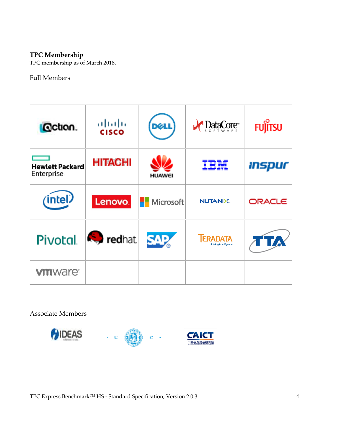## <span id="page-3-0"></span>**TPC Membership**

TPC membership as of March 2018.

## <span id="page-3-1"></span>Full Members

| <b>G</b> ction.                      | ahaha<br><b>CISCO</b> | <b>DELL</b>      | $\bigvee$ DataCore                      | Fujitsu |
|--------------------------------------|-----------------------|------------------|-----------------------------------------|---------|
| <b>Hewlett Packard</b><br>Enterprise | <b>HITACHI</b>        | <b>HUAWEI</b>    | IBM                                     | inspur  |
| (intel)                              | Lenovo.               | <b>Microsoft</b> | <b>NUTANIX.</b>                         | ORACLE  |
| <b>Pivotal</b>                       | <b>R</b> , redhat     | <b>SAP</b>       | <b>TERADATA</b><br>Raising Intelligence |         |
| <b>vm</b> ware <sup>®</sup>          |                       |                  |                                         |         |

<span id="page-3-2"></span>Associate Members

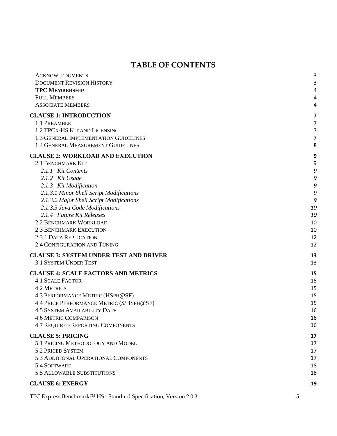## **TABLE OF CONTENTS**

| <b>ACKNOWLEDGMENTS</b>                        | 3  |
|-----------------------------------------------|----|
| <b>DOCUMENT REVISION HISTORY</b>              | 3  |
| <b>TPC MEMBERSHIP</b>                         | 4  |
| <b>FULL MEMBERS</b>                           | 4  |
| <b>ASSOCIATE MEMBERS</b>                      | 4  |
| <b>CLAUSE 1: INTRODUCTION</b>                 | 7  |
| 1.1 PREAMBLE                                  | 7  |
| 1.2 TPCX-HS KIT AND LICENSING                 | 7  |
| 1.3 GENERAL IMPLEMENTATION GUIDELINES         | 7  |
| 1.4 GENERAL MEASUREMENT GUIDELINES            | 8  |
| <b>CLAUSE 2: WORKLOAD AND EXECUTION</b>       | 9  |
| 2.1 BENCHMARK KIT                             | 9  |
| 2.1.1 Kit Contents                            | 9  |
| 2.1.2 Kit Usage                               | 9  |
| 2.1.3 Kit Modification                        | 9  |
| 2.1.3.1 Minor Shell Script Modifications      | 9  |
| 2.1.3.2 Major Shell Script Modifications      | 9  |
| 2.1.3.3 Java Code Modifications               | 10 |
| 2.1.4 Future Kit Releases                     | 10 |
| <b>2.2 BENCHMARK WORKLOAD</b>                 | 10 |
| <b>2.3 BENCHMARK EXECUTION</b>                | 10 |
| 2.3.1 DATA REPLICATION                        | 12 |
| 2.4 CONFIGURATION AND TUNING                  | 12 |
| <b>CLAUSE 3: SYSTEM UNDER TEST AND DRIVER</b> | 13 |
| <b>3.1 SYSTEM UNDER TEST</b>                  | 13 |
| <b>CLAUSE 4: SCALE FACTORS AND METRICS</b>    | 15 |
| <b>4.1 SCALE FACTOR</b>                       | 15 |
| <b>4.2 METRICS</b>                            | 15 |
| 4.3 PERFORMANCE METRIC (HSPH@SF)              | 15 |
| 4.4 PRICE PERFORMANCE METRIC (\$/HSPH@SF)     | 15 |
| <b>4.5 SYSTEM AVAILABILITY DATE</b>           | 16 |
| <b>4.6 METRIC COMPARISON</b>                  | 16 |
| 4.7 REQUIRED REPORTING COMPONENTS             | 16 |
| <b>CLAUSE 5: PRICING</b>                      | 17 |
| 5.1 PRICING METHODOLOGY AND MODEL             | 17 |
| 5.2 PRICED SYSTEM                             | 17 |
| 5.3 ADDITIONAL OPERATIONAL COMPONENTS         | 17 |
| 5.4 SOFTWARE                                  | 18 |
| 5.5 ALLOWABLE SUBSTITUTIONS                   | 18 |
| <b>CLAUSE 6: ENERGY</b>                       | 19 |
|                                               |    |

TPC Express Benchmark™ HS - Standard Specification, Version 2.0.3 5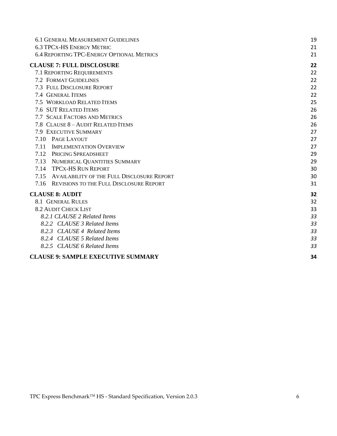| <b>6.1 GENERAL MEASUREMENT GUIDELINES</b>        | 19 |
|--------------------------------------------------|----|
| <b>6.3 TPCX-HS ENERGY METRIC</b>                 | 21 |
| <b>6.4 REPORTING TPC-ENERGY OPTIONAL METRICS</b> | 21 |
| <b>CLAUSE 7: FULL DISCLOSURE</b>                 | 22 |
| 7.1 REPORTING REQUIREMENTS                       | 22 |
| <b>7.2 FORMAT GUIDELINES</b>                     | 22 |
| 7.3 FULL DISCLOSURE REPORT                       | 22 |
| 7.4 GENERAL ITEMS                                | 22 |
| 7.5 WORKLOAD RELATED ITEMS                       | 25 |
| 7.6 SUT RELATED ITEMS                            | 26 |
| 7.7 SCALE FACTORS AND METRICS                    | 26 |
| 7.8 CLAUSE 8 - AUDIT RELATED ITEMS               | 26 |
| 7.9 EXECUTIVE SUMMARY                            | 27 |
| 7.10 PAGE LAYOUT                                 | 27 |
| <b>IMPLEMENTATION OVERVIEW</b><br>7.11           | 27 |
| 7.12 PRICING SPREADSHEET                         | 29 |
| 7.13 NUMERICAL QUANTITIES SUMMARY                | 29 |
| <b>TPCX-HS RUN REPORT</b><br>7.14                | 30 |
| 7.15 AVAILABILITY OF THE FULL DISCLOSURE REPORT  | 30 |
| 7.16 REVISIONS TO THE FULL DISCLOSURE REPORT     | 31 |
| <b>CLAUSE 8: AUDIT</b>                           | 32 |
| <b>8.1 GENERAL RULES</b>                         | 32 |
| <b>8.2 AUDIT CHECK LIST</b>                      | 33 |
| 8.2.1 CLAUSE 2 Related Items                     | 33 |
| 8.2.2 CLAUSE 3 Related Items                     | 33 |
| 8.2.3 CLAUSE 4 Related Items                     | 33 |
| 8.2.4 CLAUSE 5 Related Items                     | 33 |
| 8.2.5 CLAUSE 6 Related Items                     | 33 |
| <b>CLAUSE 9: SAMPLE EXECUTIVE SUMMARY</b>        | 34 |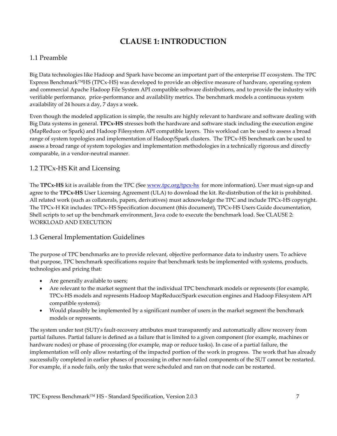## **CLAUSE 1: INTRODUCTION**

## <span id="page-6-1"></span><span id="page-6-0"></span>1.1 Preamble

Big Data technologies like Hadoop and Spark have become an important part of the enterprise IT ecosystem. The TPC Express Benchmark™HS (TPCx-HS) was developed to provide an objective measure of hardware, operating system and commercial Apache Hadoop File System API compatible software distributions, and to provide the industry with verifiable performance, price-performance and availability metrics. The benchmark models a continuous system availability of 24 hours a day, 7 days a week.

Even though the modeled application is simple, the results are highly relevant to hardware and software dealing with Big Data systems in general. **TPCx-HS** stresses both the hardware and software stack including the execution engine (MapReduce or Spark) and Hadoop Filesystem API compatible layers. This workload can be used to assess a broad range of system topologies and implementation of Hadoop/Spark clusters. The TPCx-HS benchmark can be used to assess a broad range of system topologies and implementation methodologies in a technically rigorous and directly comparable, in a vendor-neutral manner.

## <span id="page-6-2"></span>1.2 TPCx-HS Kit and Licensing

The **TPCx-HS** kit is available from the TPC (See [www.tpc.org/tpcx-hs](http://www.tpc.org/tpcx-hs) for more information). User must sign-up and agree to the **TPCx-HS** User Licensing Agreement (ULA) to download the kit. Re-distribution of the kit is prohibited. All related work (such as collaterals, papers, derivatives) must acknowledge the TPC and include TPCx-HS copyright. The TPCx-H Kit includes: TPCx-HS Specification document (this document), TPCx-HS Users Guide documentation, Shell scripts to set up the benchmark environment, Java code to execute the benchmark load. See [CLAUSE 2:](#page-8-0)  [WORKLOAD AND EXECUTION](#page-8-0)

## <span id="page-6-3"></span>1.3 General Implementation Guidelines

The purpose of TPC benchmarks are to provide relevant, objective performance data to industry users. To achieve that purpose, TPC benchmark specifications require that benchmark tests be implemented with systems, products, technologies and pricing that:

- Are generally available to users;
- Are relevant to the market segment that the individual TPC benchmark models or represents (for example, TPCx-HS models and represents Hadoop MapReduce/Spark execution engines and Hadoop Filesystem API compatible systems);
- Would plausibly be implemented by a significant number of users in the market segment the benchmark models or represents.

The system under test (SUT)'s fault-recovery attributes must transparently and automatically allow recovery from partial failures. Partial failure is defined as a failure that is limited to a given component (for example, machines or hardware nodes) or phase of processing (for example, map or reduce tasks). In case of a partial failure, the implementation will only allow restarting of the impacted portion of the work in progress. The work that has already successfully completed in earlier phases of processing in other non-failed components of the SUT cannot be restarted. For example, if a node fails, only the tasks that were scheduled and ran on that node can be restarted.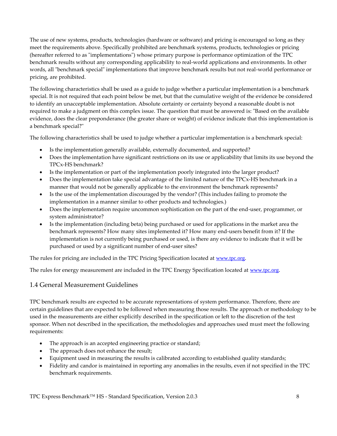The use of new systems, products, technologies (hardware or software) and pricing is encouraged so long as they meet the requirements above. Specifically prohibited are benchmark systems, products, technologies or pricing (hereafter referred to as "implementations") whose primary purpose is performance optimization of the TPC benchmark results without any corresponding applicability to real-world applications and environments. In other words, all "benchmark special" implementations that improve benchmark results but not real-world performance or pricing, are prohibited.

The following characteristics shall be used as a guide to judge whether a particular implementation is a benchmark special. It is not required that each point below be met, but that the cumulative weight of the evidence be considered to identify an unacceptable implementation. Absolute certainty or certainty beyond a reasonable doubt is not required to make a judgment on this complex issue. The question that must be answered is: "Based on the available evidence, does the clear preponderance (the greater share or weight) of evidence indicate that this implementation is a benchmark special?"

The following characteristics shall be used to judge whether a particular implementation is a benchmark special:

- Is the implementation generally available, externally documented, and supported?
- Does the implementation have significant restrictions on its use or applicability that limits its use beyond the TPCx-HS benchmark?
- Is the implementation or part of the implementation poorly integrated into the larger product?
- Does the implementation take special advantage of the limited nature of the TPCx-HS benchmark in a manner that would not be generally applicable to the environment the benchmark represents?
- Is the use of the implementation discouraged by the vendor? (This includes failing to promote the implementation in a manner similar to other products and technologies.)
- Does the implementation require uncommon sophistication on the part of the end-user, programmer, or system administrator?
- Is the implementation (including beta) being purchased or used for applications in the market area the benchmark represents? How many sites implemented it? How many end-users benefit from it? If the implementation is not currently being purchased or used, is there any evidence to indicate that it will be purchased or used by a significant number of end-user sites?

The rules for pricing are included in the TPC Pricing Specification located at [www.tpc.org](http://www.tpc.org/).

The rules for energy measurement are included in the TPC Energy Specification located at [www.tpc.org](http://www.tpc.org/).

#### <span id="page-7-0"></span>1.4 General Measurement Guidelines

TPC benchmark results are expected to be accurate representations of system performance. Therefore, there are certain guidelines that are expected to be followed when measuring those results. The approach or methodology to be used in the measurements are either explicitly described in the specification or left to the discretion of the test sponsor. When not described in the specification, the methodologies and approaches used must meet the following requirements:

- The approach is an accepted engineering practice or standard;
- The approach does not enhance the result;
- Equipment used in measuring the results is calibrated according to established quality standards;
- Fidelity and candor is maintained in reporting any anomalies in the results, even if not specified in the TPC benchmark requirements.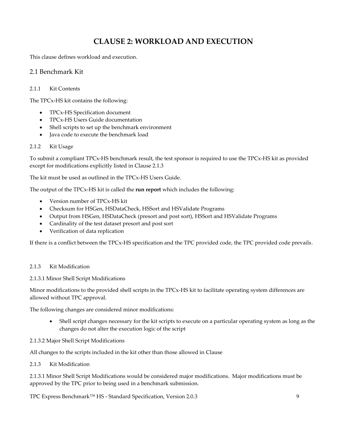## **CLAUSE 2: WORKLOAD AND EXECUTION**

<span id="page-8-0"></span>This clause defines workload and execution.

#### <span id="page-8-1"></span>2.1 Benchmark Kit

#### <span id="page-8-2"></span>2.1.1 Kit Contents

The TPCx-HS kit contains the following:

- TPCx-HS Specification document
- TPCx-HS Users Guide documentation
- Shell scripts to set up the benchmark environment
- Java code to execute the benchmark load

#### <span id="page-8-3"></span>2.1.2 Kit Usage

To submit a compliant TPCx-HS benchmark result, the test sponsor is required to use the TPCx-HS kit as provided except for modifications explicitly listed in Clause 2.1.3

The kit must be used as outlined in the TPCx-HS Users Guide.

The output of the TPCx-HS kit is called the **run report** which includes the following:

- Version number of TPCx-HS kit
- Checksum for HSGen, HSDataCheck, HSSort and HSValidate Programs
- Output from HSGen, HSDataCheck (presort and post sort), HSSort and HSValidate Programs
- Cardinality of the test dataset presort and post sort
- Verification of data replication

<span id="page-8-7"></span>If there is a conflict between the TPCx-HS specification and the TPC provided code, the TPC provided code prevails.

#### <span id="page-8-4"></span>2.1.3 Kit Modification

#### <span id="page-8-5"></span>2.1.3.1 Minor Shell Script Modifications

Minor modifications to the provided shell scripts in the TPCx-HS kit to facilitate operating system differences are allowed without TPC approval.

The following changes are considered minor modifications:

• Shell script changes necessary for the kit scripts to execute on a particular operating system as long as the changes do not alter the execution logic of the script

#### <span id="page-8-6"></span>2.1.3.2 Major Shell Script Modifications

All changes to the scripts included in the kit other than those allowed in Clause

#### 2.1.3 [Kit Modification](#page-8-7)

[2.1.3.1 Minor Shell Script Modifications](#page-8-7) would be considered major modifications. Major modifications must be approved by the TPC prior to being used in a benchmark submission.

TPC Express Benchmark™ HS - Standard Specification, Version 2.0.3 9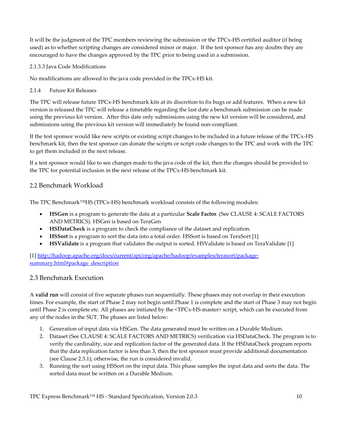It will be the judgment of the TPC members reviewing the submission or the TPCx-HS certified auditor (if being used) as to whether scripting changes are considered minor or major. If the test sponsor has any doubts they are encouraged to have the changes approved by the TPC prior to being used in a submission.

#### <span id="page-9-0"></span>2.1.3.3 Java Code Modifications

No modifications are allowed to the java code provided in the TPCx-HS kit.

### <span id="page-9-1"></span>2.1.4 Future Kit Releases

The TPC will release future TPCx-HS benchmark kits at its discretion to fix bugs or add features. When a new kit version is released the TPC will release a timetable regarding the last date a benchmark submission can be made using the previous kit version. After this date only submissions using the new kit version will be considered, and submissions using the previous kit version will immediately be found non-compliant.

If the test sponsor would like new scripts or existing script changes to be included in a future release of the TPCx-HS benchmark kit, then the test sponsor can donate the scripts or script code changes to the TPC and work with the TPC to get them included in the next release.

If a test sponsor would like to see changes made to the java code of the kit, then the changes should be provided to the TPC for potential inclusion in the next release of the TPCx-HS benchmark kit.

## <span id="page-9-2"></span>2.2 Benchmark Workload

The TPC Benchmark™HS (TPCx-HS) benchmark workload consists of the following modules:

- **HSGen** is a program to generate the data at a particular **Scale Factor**. (See CLAUSE 4: [SCALE FACTORS](#page-14-0)  [AND METRICS\)](#page-14-0). HSGen is based on TeraGen
- **HSDataCheck** is a program to check the compliance of the dataset and replication.
- **HSSort** is a program to sort the data into a total order. HSSort is based on TeraSort [1]
- **HSValidate** is a program that validates the output is sorted. HSValidate is based on TeraValidate [1]

[1] [http://hadoop.apache.org/docs/current/api/org/apache/hadoop/examples/terasort/package](http://hadoop.apache.org/docs/current/api/org/apache/hadoop/examples/terasort/package-summary.html%23package_description)[summary.html#package\\_description](http://hadoop.apache.org/docs/current/api/org/apache/hadoop/examples/terasort/package-summary.html%23package_description)

## <span id="page-9-3"></span>2.3 Benchmark Execution

A **valid run** will consist of five separate phases run sequentially. These phases may not overlap in their execution times. For example, the start of Phase 2 may not begin until Phase 1 is complete and the start of Phase 3 may not begin until Phase 2 is complete etc. All phases are initiated by the <TPCx-HS-master> script, which can be executed from any of the nodes in the SUT. The phases are listed below:

- 1. Generation of input data via HSGen. The data generated must be written on a Durable Medium.
- 2. Dataset (See CLAUSE 4: [SCALE FACTORS AND METRICS\)](#page-14-0) verification via HSDataCheck. The program is to verify the cardinality, size and replication factor of the generated data. If the HSDataCheck program reports that the data replication factor is less than 3, then the test sponsor must provide additional documentation (see Clause 2.3.1); otherwise, the run is considered invalid.
- 3. Running the sort using HSSort on the input data. This phase samples the input data and sorts the data. The sorted data must be written on a Durable Medium.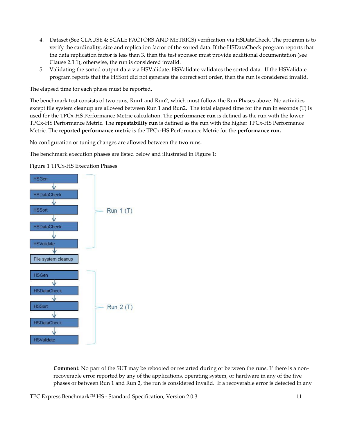- 4. Dataset (See CLAUSE 4: [SCALE FACTORS AND METRICS\)](#page-14-0) verification via HSDataCheck. The program is to verify the cardinality, size and replication factor of the sorted data. If the HSDataCheck program reports that the data replication factor is less than 3, then the test sponsor must provide additional documentation (see Clause 2.3.1); otherwise, the run is considered invalid.
- 5. Validating the sorted output data via HSValidate. HSValidate validates the sorted data. If the HSValidate program reports that the HSSort did not generate the correct sort order, then the run is considered invalid.

The elapsed time for each phase must be reported.

The benchmark test consists of two runs, Run1 and Run2, which must follow the Run Phases above. No activities except file system cleanup are allowed between Run 1 and Run2. The total elapsed time for the run in seconds (T) is used for the TPCx-HS Performance Metric calculation. The **performance run** is defined as the run with the lower TPCx-HS Performance Metric. The **repeatability run** is defined as the run with the higher TPCx-HS Performance Metric. The **reported performance metric** is the TPCx-HS Performance Metric for the **performance run.**

No configuration or tuning changes are allowed between the two runs.

The benchmark execution phases are listed below and illustrated in [Figure 1:](#page-10-0)

<span id="page-10-0"></span>Figure 1 TPCx-HS Execution Phases



**Comment:** No part of the SUT may be rebooted or restarted during or between the runs. If there is a nonrecoverable error reported by any of the applications, operating system, or hardware in any of the five phases or between Run 1 and Run 2, the run is considered invalid. If a recoverable error is detected in any

TPC Express Benchmark<sup>™</sup> HS - Standard Specification, Version 2.0.3 11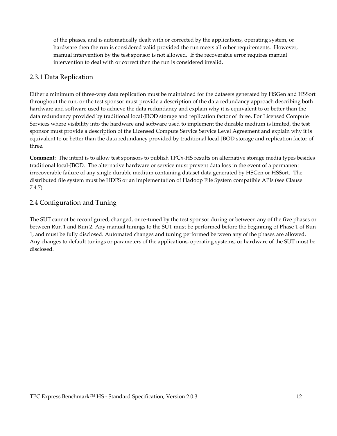of the phases, and is automatically dealt with or corrected by the applications, operating system, or hardware then the run is considered valid provided the run meets all other requirements. However, manual intervention by the test sponsor is not allowed. If the recoverable error requires manual intervention to deal with or correct then the run is considered invalid.

### <span id="page-11-0"></span>2.3.1 Data Replication

Either a minimum of three-way data replication must be maintained for the datasets generated by HSGen and HSSort throughout the run, or the test sponsor must provide a description of the data redundancy approach describing both hardware and software used to achieve the data redundancy and explain why it is equivalent to or better than the data redundancy provided by traditional local-JBOD storage and replication factor of three. For Licensed Compute Services where visibility into the hardware and software used to implement the durable medium is limited, the test sponsor must provide a description of the Licensed Compute Service Service Level Agreement and explain why it is equivalent to or better than the data redundancy provided by traditional local-JBOD storage and replication factor of three.

**Comment:** The intent is to allow test sponsors to publish TPCx-HS results on alternative storage media types besides traditional local-JBOD. The alternative hardware or service must prevent data loss in the event of a permanent irrecoverable failure of any single durable medium containing dataset data generated by HSGen or HSSort. The distributed file system must be HDFS or an implementation of Hadoop File System compatible APIs (see Clause 7.4.7).

## <span id="page-11-1"></span>2.4 Configuration and Tuning

The SUT cannot be reconfigured, changed, or re-tuned by the test sponsor during or between any of the five phases or between Run 1 and Run 2. Any manual tunings to the SUT must be performed before the beginning of Phase 1 of Run 1, and must be fully disclosed. Automated changes and tuning performed between any of the phases are allowed. Any changes to default tunings or parameters of the applications, operating systems, or hardware of the SUT must be disclosed.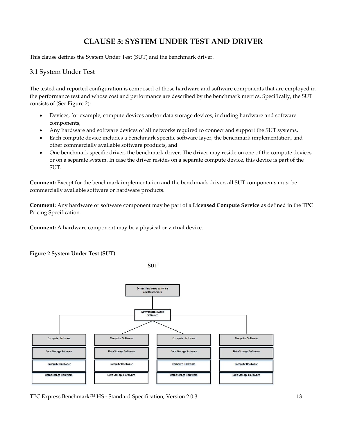## **CLAUSE 3: SYSTEM UNDER TEST AND DRIVER**

<span id="page-12-0"></span>This clause defines the System Under Test (SUT) and the benchmark driver.

### <span id="page-12-1"></span>3.1 System Under Test

The tested and reported configuration is composed of those hardware and software components that are employed in the performance test and whose cost and performance are described by the benchmark metrics. Specifically, the SUT consists of (See [Figure 2\)](#page-12-2):

- Devices, for example, compute devices and/or data storage devices, including hardware and software components,
- Any hardware and software devices of all networks required to connect and support the SUT systems,
- Each compute device includes a benchmark specific software layer, the benchmark implementation, and other commercially available software products, and
- One benchmark specific driver, the benchmark driver. The driver may reside on one of the compute devices or on a separate system. In case the driver resides on a separate compute device, this device is part of the SUT.

**Comment:** Except for the benchmark implementation and the benchmark driver, all SUT components must be commercially available software or hardware products.

**Comment:** Any hardware or software component may be part of a **Licensed Compute Service** as defined in the TPC Pricing Specification.

**Comment:** A hardware component may be a physical or virtual device.

#### <span id="page-12-2"></span>**Figure 2 System Under Test (SUT)**

**SUT** 



TPC Express Benchmark™ HS - Standard Specification, Version 2.0.3 13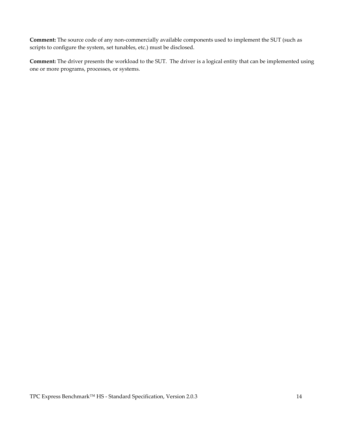**Comment:** The source code of any non-commercially available components used to implement the SUT (such as scripts to configure the system, set tunables, etc.) must be disclosed.

**Comment:** The driver presents the workload to the SUT. The driver is a logical entity that can be implemented using one or more programs, processes, or systems.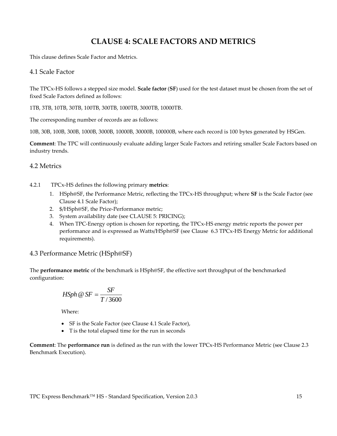## **CLAUSE 4: SCALE FACTORS AND METRICS**

<span id="page-14-0"></span>This clause defines Scale Factor and Metrics.

#### <span id="page-14-1"></span>4.1 Scale Factor

The TPCx-HS follows a stepped size model. **Scale factor** (**SF**) used for the test dataset must be chosen from the set of fixed Scale Factors defined as follows:

1TB, 3TB, 10TB, 30TB, 100TB, 300TB, 1000TB, 3000TB, 10000TB.

The corresponding number of records are as follows:

10B, 30B, 100B, 300B, 1000B, 3000B, 10000B, 30000B, 100000B, where each record is 100 bytes generated by HSGen.

**Comment**: The TPC will continuously evaluate adding larger Scale Factors and retiring smaller Scale Factors based on industry trends.

#### <span id="page-14-2"></span>4.2 Metrics

- 4.2.1 TPCx-HS defines the following primary **metrics**:
	- 1. HSph@SF, the Performance Metric, reflecting the TPCx-HS throughput; where **SF** is the Scale Factor (see Clause [4.1 Scale Factor\)](#page-14-1);
	- 2. \$/HSph@SF, the Price-Performance metric;
	- 3. System availability date (see [CLAUSE 5: PRICING\)](#page-16-0);
	- 4. When TPC-Energy option is chosen for reporting, the TPCx-HS energy metric reports the power per performance and is expressed as Watts/HSph@SF (see Clause [6.3 TPCx-HS Energy Metric](#page-20-0) for additional requirements).

#### <span id="page-14-3"></span>4.3 Performance Metric (HSph@SF)

The **performance metric** of the benchmark is HSph@SF, the effective sort throughput of the benchmarked configuration:

$$
H\!Sph \t\circledast SF = \frac{SF}{T/3600}
$$

Where:

- SF is the Scale Factor (see Clause [4.1 Scale Factor\)](#page-14-1),
- T is the total elapsed time for the run in seconds

**Comment**: The **performance run** is defined as the run with the lower TPCx-HS Performance Metric (see Clause [2.3](#page-9-3)  [Benchmark Execution\)](#page-9-3).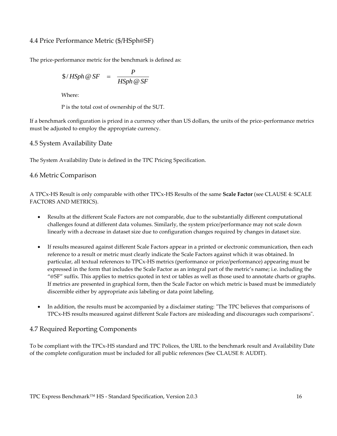### <span id="page-15-0"></span>4.4 Price Performance Metric (\$/HSph@SF)

The price-performance metric for the benchmark is defined as:

$$
\$/HSph \& SF = \frac{P}{HSph \& SF}
$$

Where:

P is the total cost of ownership of the SUT.

If a benchmark configuration is priced in a currency other than US dollars, the units of the price-performance metrics must be adjusted to employ the appropriate currency.

<span id="page-15-1"></span>4.5 System Availability Date

The System Availability Date is defined in the TPC Pricing Specification.

### <span id="page-15-2"></span>4.6 Metric Comparison

A TPCx-HS Result is only comparable with other TPCx-HS Results of the same **Scale Factor** (see [CLAUSE 4:](#page-14-0) SCALE [FACTORS AND METRICS\)](#page-14-0).

- Results at the different Scale Factors are not comparable, due to the substantially different computational challenges found at different data volumes. Similarly, the system price/performance may not scale down linearly with a decrease in dataset size due to configuration changes required by changes in dataset size.
- If results measured against different Scale Factors appear in a printed or electronic communication, then each reference to a result or metric must clearly indicate the Scale Factors against which it was obtained. In particular, all textual references to TPCx-HS metrics (performance or price/performance) appearing must be expressed in the form that includes the Scale Factor as an integral part of the metric's name; i.e. including the "@SF" suffix. This applies to metrics quoted in text or tables as well as those used to annotate charts or graphs. If metrics are presented in graphical form, then the Scale Factor on which metric is based must be immediately discernible either by appropriate axis labeling or data point labeling.
- In addition, the results must be accompanied by a disclaimer stating: "The TPC believes that comparisons of TPCx-HS results measured against different Scale Factors are misleading and discourages such comparisons".

## <span id="page-15-3"></span>4.7 Required Reporting Components

To be compliant with the TPCx-HS standard and TPC Polices, the URL to the benchmark result and Availability Date of the complete configuration must be included for all public references (See [CLAUSE 8: AUDIT\)](#page-31-0).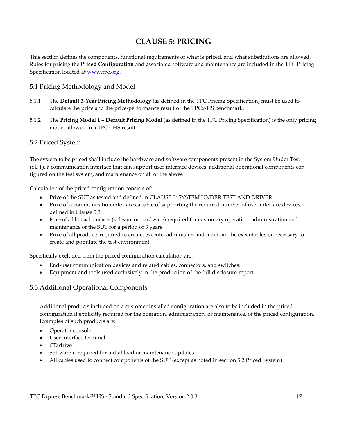## **CLAUSE 5: PRICING**

<span id="page-16-0"></span>This section defines the components, functional requirements of what is priced, and what substitutions are allowed. Rules for pricing the **Priced Configuration** and associated software and maintenance are included in the TPC Pricing Specification located at [www.tpc.org.](http://www.tcp.org/)

### <span id="page-16-1"></span>5.1 Pricing Methodology and Model

- 5.1.1 The **Default 3-Year Pricing Methodology** (as defined in the TPC Pricing Specification) must be used to calculate the price and the price/performance result of the TPCx-HS benchmark.
- 5.1.2 The **Pricing Model 1 – Default Pricing Model** (as defined in the TPC Pricing Specification) is the only pricing model allowed in a TPCx-HS result.

#### <span id="page-16-2"></span>5.2 Priced System

The system to be priced shall include the hardware and software components present in the System Under Test (SUT), a communication interface that can support user interface devices, additional operational components configured on the test system, and maintenance on all of the above

Calculation of the priced configuration consists of:

- Price of the SUT as tested and defined in [CLAUSE 3: SYSTEM UNDER TEST AND DRIVER](#page-12-0)
- Price of a communication interface capable of supporting the required number of user interface devices defined in Clause 5.3
- Price of additional products (software or hardware) required for customary operation, administration and maintenance of the SUT for a period of 3 years
- Price of all products required to create, execute, administer, and maintain the executables or necessary to create and populate the test environment.

Specifically excluded from the priced configuration calculation are:

- End-user communication devices and related cables, connectors, and switches;
- Equipment and tools used exclusively in the production of the full disclosure report;

## <span id="page-16-3"></span>5.3 Additional Operational Components

Additional products included on a customer installed configuration are also to be included in the priced configuration if explicitly required for the operation, administration, or maintenance, of the priced configuration. Examples of such products are:

- Operator console
- User interface terminal
- CD drive
- Software if required for initial load or maintenance updates
- All cables used to connect components of the SUT (except as noted in section 5.2 [Priced System\)](#page-16-2)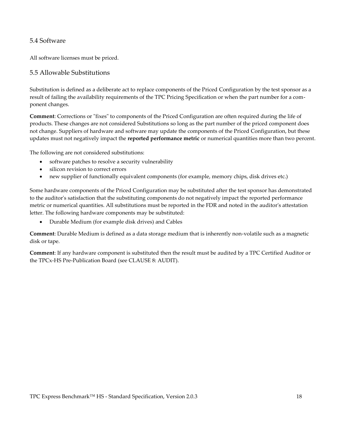### <span id="page-17-0"></span>5.4 Software

All software licenses must be priced.

#### <span id="page-17-1"></span>5.5 Allowable Substitutions

Substitution is defined as a deliberate act to replace components of the Priced Configuration by the test sponsor as a result of failing the availability requirements of the TPC Pricing Specification or when the part number for a component changes.

**Comment**: Corrections or "fixes" to components of the Priced Configuration are often required during the life of products. These changes are not considered Substitutions so long as the part number of the priced component does not change. Suppliers of hardware and software may update the components of the Priced Configuration, but these updates must not negatively impact the **reported performance metric** or numerical quantities more than two percent.

The following are not considered substitutions:

- software patches to resolve a security vulnerability
- silicon revision to correct errors
- new supplier of functionally equivalent components (for example, memory chips, disk drives etc.)

Some hardware components of the Priced Configuration may be substituted after the test sponsor has demonstrated to the auditor's satisfaction that the substituting components do not negatively impact the reported performance metric or numerical quantities. All substitutions must be reported in the FDR and noted in the auditor's attestation letter. The following hardware components may be substituted:

• Durable Medium (for example disk drives) and Cables

**Comment**: Durable Medium is defined as a data storage medium that is inherently non-volatile such as a magnetic disk or tape.

**Comment**: If any hardware component is substituted then the result must be audited by a TPC Certified Auditor or the TPCx-HS Pre-Publication Board (see [CLAUSE 8: AUDIT\)](#page-31-0).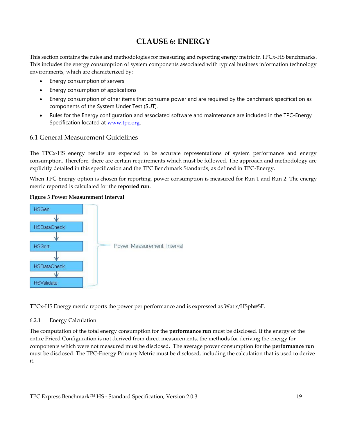## **CLAUSE 6: ENERGY**

<span id="page-18-0"></span>This section contains the rules and methodologies for measuring and reporting energy metric in TPCx-HS benchmarks. This includes the energy consumption of system components associated with typical business information technology environments, which are characterized by:

- Energy consumption of servers
- Energy consumption of applications
- Energy consumption of other items that consume power and are required by the benchmark specification as components of the System Under Test (SUT).
- Rules for the Energy configuration and associated software and maintenance are included in the TPC-Energy Specification located at [www.tpc.org](http://www.tpc.org/).

### <span id="page-18-1"></span>6.1 General Measurement Guidelines

The TPCx-HS energy results are expected to be accurate representations of system performance and energy consumption. Therefore, there are certain requirements which must be followed. The approach and methodology are explicitly detailed in this specification and the TPC Benchmark Standards, as defined in TPC-Energy.

When TPC-Energy option is chosen for reporting, power consumption is measured for Run 1 and Run 2. The energy metric reported is calculated for the **reported run**.



#### **Figure 3 Power Measurement Interval**

TPCx-HS Energy metric reports the power per performance and is expressed as Watts/HSph@SF.

#### 6.2.1 Energy Calculation

The computation of the total energy consumption for the **performance run** must be disclosed. If the energy of the entire Priced Configuration is not derived from direct measurements, the methods for deriving the energy for components which were not measured must be disclosed. The average power consumption for the **performance run** must be disclosed. The TPC-Energy Primary Metric must be disclosed, including the calculation that is used to derive it.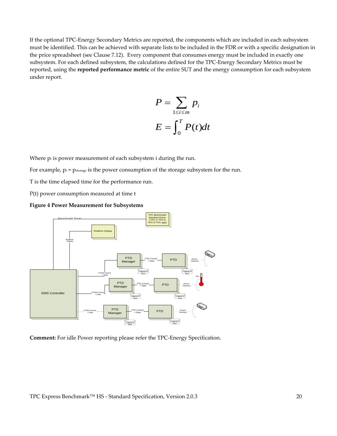If the optional TPC-Energy Secondary Metrics are reported, the components which are included in each subsystem must be identified. This can be achieved with separate lists to be included in the FDR or with a specific designation in the price spreadsheet (see Clause 7.12). Every component that consumes energy must be included in exactly one subsystem. For each defined subsystem, the calculations defined for the TPC-Energy Secondary Metrics must be reported, using the **reported performance metric** of the entire SUT and the energy consumption for each subsystem under report.

$$
P = \sum_{1 \le i \le m} p_i
$$
  

$$
E = \int_0^T P(t)dt
$$

Where  $p_i$  is power measurement of each subsystem i during the run.

For example,  $p_i = p_{storage}$  is the power consumption of the storage subsystem for the run.

T is the time elapsed time for the performance run.

P(t) power consumption measured at time t





**Comment:** For idle Power reporting please refer the TPC-Energy Specification.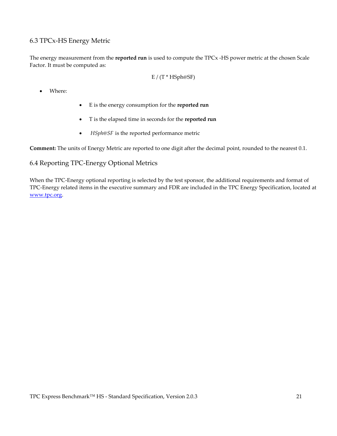## <span id="page-20-0"></span>6.3 TPCx-HS Energy Metric

The energy measurement from the **reported run** is used to compute the TPCx -HS power metric at the chosen Scale Factor. It must be computed as:

$$
E / (T * HSph@SF)
$$

• Where:

- E is the energy consumption for the **reported run**
- T is the elapsed time in seconds for the **reported run**
- *HSph@SF* is the reported performance metric

<span id="page-20-1"></span>**Comment:** The units of Energy Metric are reported to one digit after the decimal point, rounded to the nearest 0.1.

### 6.4 Reporting TPC-Energy Optional Metrics

When the TPC-Energy optional reporting is selected by the test sponsor, the additional requirements and format of TPC-Energy related items in the executive summary and FDR are included in the TPC Energy Specification, located at [www.tpc.org.](http://www.tcp.org/)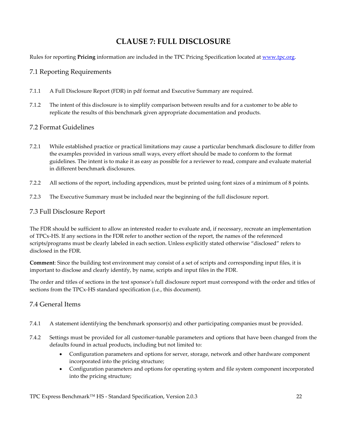## **CLAUSE 7: FULL DISCLOSURE**

<span id="page-21-0"></span>Rules for reporting **Pricing** information are included in the TPC Pricing Specification located a[t www.tpc.org.](http://www.tcp.org/)

## <span id="page-21-1"></span>7.1 Reporting Requirements

- 7.1.1 A Full Disclosure Report (FDR) in pdf format and Executive Summary are required.
- 7.1.2 The intent of this disclosure is to simplify comparison between results and for a customer to be able to replicate the results of this benchmark given appropriate documentation and products.

## <span id="page-21-2"></span>7.2 Format Guidelines

- 7.2.1 While established practice or practical limitations may cause a particular benchmark disclosure to differ from the examples provided in various small ways, every effort should be made to conform to the format guidelines. The intent is to make it as easy as possible for a reviewer to read, compare and evaluate material in different benchmark disclosures.
- 7.2.2 All sections of the report, including appendices, must be printed using font sizes of a minimum of 8 points.
- 7.2.3 The Executive Summary must be included near the beginning of the full disclosure report.

### <span id="page-21-3"></span>7.3 Full Disclosure Report

The FDR should be sufficient to allow an interested reader to evaluate and, if necessary, recreate an implementation of TPCx-HS. If any sections in the FDR refer to another section of the report, the names of the referenced scripts/programs must be clearly labeled in each section. Unless explicitly stated otherwise "disclosed" refers to disclosed in the FDR.

**Comment**: Since the building test environment may consist of a set of scripts and corresponding input files, it is important to disclose and clearly identify, by name, scripts and input files in the FDR.

The order and titles of sections in the test sponsor's full disclosure report must correspond with the order and titles of sections from the TPCx-HS standard specification (i.e., this document).

## <span id="page-21-4"></span>7.4 General Items

- 7.4.1 A statement identifying the benchmark sponsor(s) and other participating companies must be provided.
- 7.4.2 Settings must be provided for all customer-tunable parameters and options that have been changed from the defaults found in actual products, including but not limited to:
	- Configuration parameters and options for server, storage, network and other hardware component incorporated into the pricing structure;
	- Configuration parameters and options for operating system and file system component incorporated into the pricing structure;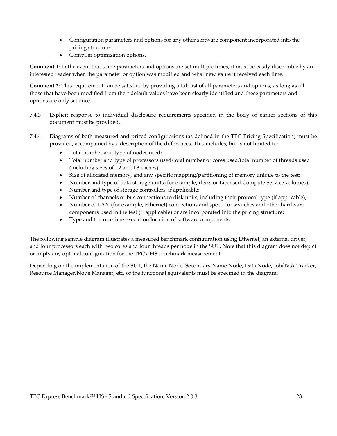- Configuration parameters and options for any other software component incorporated into the pricing structure.
- Compiler optimization options.

**Comment 1**: In the event that some parameters and options are set multiple times, it must be easily discernible by an interested reader when the parameter or option was modified and what new value it received each time.

**Comment 2**: This requirement can be satisfied by providing a full list of all parameters and options, as long as all those that have been modified from their default values have been clearly identified and these parameters and options are only set once.

- 7.4.3 Explicit response to individual disclosure requirements specified in the body of earlier sections of this document must be provided.
- <span id="page-22-0"></span>7.4.4 Diagrams of both measured and priced configurations (as defined in the TPC Pricing Specification) must be provided, accompanied by a description of the differences. This includes, but is not limited to:
	- Total number and type of nodes used;
	- Total number and type of processors used/total number of cores used/total number of threads used (including sizes of L2 and L3 caches);
	- Size of allocated memory, and any specific mapping/partitioning of memory unique to the test;
	- Number and type of data storage units (for example, disks or Licensed Compute Service volumes);
	- Number and type of storage controllers, if applicable;
	- Number of channels or bus connections to disk units, including their protocol type (if applicable);
	- Number of LAN (for example, Ethernet) connections and speed for switches and other hardware components used in the test (if applicable) or are incorporated into the pricing structure;
	- Type and the run-time execution location of software components.

The following sample diagram illustrates a measured benchmark configuration using Ethernet, an external driver, and four processors each with two cores and four threads per node in the SUT. Note that this diagram does not depict or imply any optimal configuration for the TPCx-HS benchmark measurement.

Depending on the implementation of the SUT, the Name Node, Secondary Name Node, Data Node, Job/Task Tracker, Resource Manager/Node Manager, etc. or the functional equivalents must be specified in the diagram.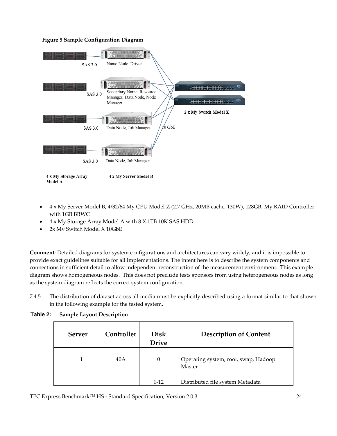#### **Figure 5 Sample Configuration Diagram**



- 4 x My Server Model B, 4/32/64 My CPU Model Z (2.7 GHz, 20MB cache, 130W), 128GB, My RAID Controller with 1GB BBWC
- 4 x My Storage Array Model A with 8 X 1TB 10K SAS HDD
- 2x My Switch Model X 10GbE

**Comment**: Detailed diagrams for system configurations and architectures can vary widely, and it is impossible to provide exact guidelines suitable for all implementations. The intent here is to describe the system components and connections in sufficient detail to allow independent reconstruction of the measurement environment. This example diagram shows homogeneous nodes. This does not preclude tests sponsors from using heterogeneous nodes as long as the system diagram reflects the correct system configuration.

7.4.5 The distribution of dataset across all media must be explicitly described using a format similar to that shown in the following example for the tested system.

| Server | Controller | <b>Disk</b><br><b>Drive</b> | <b>Description of Content</b>                  |
|--------|------------|-----------------------------|------------------------------------------------|
|        | 40A        | $\theta$                    | Operating system, root, swap, Hadoop<br>Master |
|        |            | $1-12$                      | Distributed file system Metadata               |

#### **Table 2: Sample Layout Description**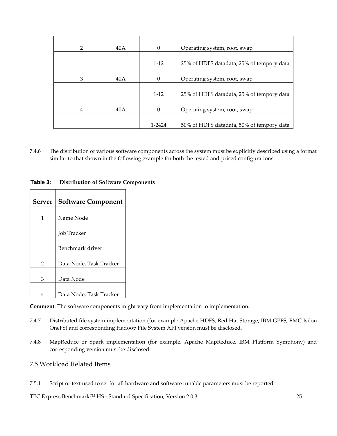| 2 | 40A | $\Omega$ | Operating system, root, swap              |
|---|-----|----------|-------------------------------------------|
|   |     | $1-12$   | 25% of HDFS datadata, 25% of tempory data |
| 3 | 40A | $\Omega$ | Operating system, root, swap              |
|   |     | $1 - 12$ | 25% of HDFS datadata, 25% of tempory data |
| 4 | 40A | $\Omega$ | Operating system, root, swap              |
|   |     | 1-2424   | 50% of HDFS datadata, 50% of tempory data |

7.4.6 The distribution of various software components across the system must be explicitly described using a format similar to that shown in the following example for both the tested and priced configurations.

| <b>Server</b>  | <b>Software Component</b> |
|----------------|---------------------------|
| 1              | Name Node                 |
|                | <b>Job Tracker</b>        |
|                | Benchmark driver          |
| $\mathfrak{p}$ | Data Node, Task Tracker   |
| 3              | Data Node                 |
| 4              | Data Node, Task Tracker   |

**Table 3: Distribution of Software Components**

**Comment**: The software components might vary from implementation to implementation.

- 7.4.7 Distributed file system implementation (for example Apache HDFS, Red Hat Storage, IBM GPFS, EMC Isilon OneFS) and corresponding Hadoop File System API version must be disclosed.
- 7.4.8 MapReduce or Spark implementation (for example, Apache MapReduce, IBM Platform Symphony) and corresponding version must be disclosed.

#### <span id="page-24-0"></span>7.5 Workload Related Items

7.5.1 Script or text used to set for all hardware and software tunable parameters must be reported

TPC Express Benchmark™ HS - Standard Specification, Version 2.0.3 25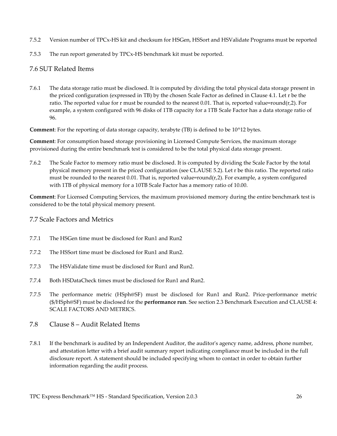- 7.5.2 Version number of TPCx-HS kit and checksum for HSGen, HSSort and HSValidate Programs must be reported
- 7.5.3 The run report generated by TPCx-HS benchmark kit must be reported.

### <span id="page-25-0"></span>7.6 SUT Related Items

7.6.1 The data storage ratio must be disclosed. It is computed by dividing the total physical data storage present in the priced configuration (expressed in TB) by the chosen Scale Factor as defined in Clause 4.1. Let r be the ratio. The reported value for r must be rounded to the nearest 0.01. That is, reported value=round( $r, 2$ ). For example, a system configured with 96 disks of 1TB capacity for a 1TB Scale Factor has a data storage ratio of 96.

**Comment**: For the reporting of data storage capacity, terabyte (TB) is defined to be 10^12 bytes.

**Comment**: For consumption based storage provisioning in Licensed Compute Services, the maximum storage provisioned during the entire benchmark test is considered to be the total physical data storage present.

7.6.2 The Scale Factor to memory ratio must be disclosed. It is computed by dividing the Scale Factor by the total physical memory present in the priced configuration (see CLAUSE 5.2). Let r be this ratio. The reported ratio must be rounded to the nearest 0.01. That is, reported value=round $(r, 2)$ . For example, a system configured with 1TB of physical memory for a 10TB Scale Factor has a memory ratio of 10.00.

**Comment**: For Licensed Computing Services, the maximum provisioned memory during the entire benchmark test is considered to be the total physical memory present.

<span id="page-25-1"></span>7.7 Scale Factors and Metrics

- 7.7.1 The HSGen time must be disclosed for Run1 and Run2
- 7.7.2 The HSSort time must be disclosed for Run1 and Run2.
- 7.7.3 The HSValidate time must be disclosed for Run1 and Run2.
- 7.7.4 Both HSDataCheck times must be disclosed for Run1 and Run2.
- 7.7.5 The performance metric (HSph@SF) must be disclosed for Run1 and Run2. Price-performance metric (\$/HSph@SF) must be disclosed for the **performance run**. See section [2.3 Benchmark Execution](#page-9-3) and [CLAUSE 4:](#page-14-0) [SCALE FACTORS AND METRICS.](#page-14-0)
- <span id="page-25-2"></span>7.8 Clause 8 – Audit Related Items
- 7.8.1 If the benchmark is audited by an Independent Auditor, the auditor's agency name, address, phone number, and attestation letter with a brief audit summary report indicating compliance must be included in the full disclosure report. A statement should be included specifying whom to contact in order to obtain further information regarding the audit process.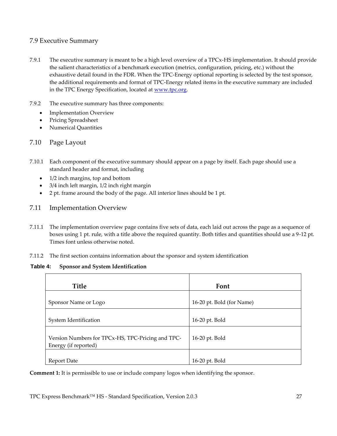## <span id="page-26-0"></span>7.9 Executive Summary

- 7.9.1 The executive summary is meant to be a high level overview of a TPCx-HS implementation. It should provide the salient characteristics of a benchmark execution (metrics, configuration, pricing, etc.) without the exhaustive detail found in the FDR. When the TPC-Energy optional reporting is selected by the test sponsor, the additional requirements and format of TPC-Energy related items in the executive summary are included in the TPC Energy Specification, located at [www.tpc.org.](http://www.tcp.org/)
- 7.9.2 The executive summary has three components:
	- **Implementation Overview**
	- Pricing Spreadsheet
	- Numerical Quantities

### <span id="page-26-1"></span>7.10 Page Layout

- 7.10.1 Each component of the executive summary should appear on a page by itself. Each page should use a standard header and format, including
	- 1/2 inch margins, top and bottom
	- 3/4 inch left margin, 1/2 inch right margin
	- 2 pt. frame around the body of the page. All interior lines should be 1 pt.
- <span id="page-26-2"></span>7.11 Implementation Overview
- 7.11.1 The implementation overview page contains five sets of data, each laid out across the page as a sequence of boxes using 1 pt. rule, with a title above the required quantity. Both titles and quantities should use a 9-12 pt. Times font unless otherwise noted.
- 7.11.2 The first section contains information about the sponsor and system identification

#### **Table 4: Sponsor and System Identification**

| Title                                                                     | Font                      |
|---------------------------------------------------------------------------|---------------------------|
| Sponsor Name or Logo                                                      | 16-20 pt. Bold (for Name) |
| System Identification                                                     | 16-20 pt. Bold            |
| Version Numbers for TPCx-HS, TPC-Pricing and TPC-<br>Energy (if reported) | 16-20 pt. Bold            |
| Report Date                                                               | 16-20 pt. Bold            |

**Comment 1:** It is permissible to use or include company logos when identifying the sponsor.

TPC Express Benchmark™ HS - Standard Specification, Version 2.0.3 27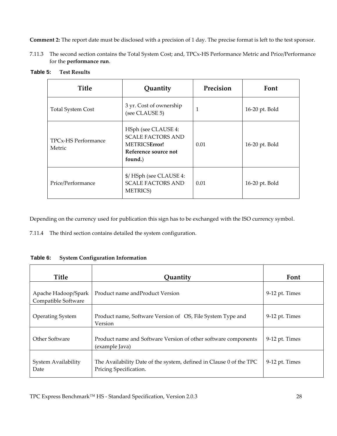**Comment 2:** The report date must be disclosed with a precision of 1 day. The precise format is left to the test sponsor.

7.11.3 The second section contains the Total System Cost; and, TPCx-HS Performance Metric and Price/Performance for the **performance run**.

| <b>Title</b>                  | Quantity                                                                                            | Precision | Font           |
|-------------------------------|-----------------------------------------------------------------------------------------------------|-----------|----------------|
| <b>Total System Cost</b>      | 3 yr. Cost of ownership<br>(see CLAUSE 5)                                                           | 1         | 16-20 pt. Bold |
| TPCx-HS Performance<br>Metric | HSph (see CLAUSE 4:<br><b>SCALE FACTORS AND</b><br>METRICSError!<br>Reference source not<br>found.) | 0.01      | 16-20 pt. Bold |
| Price/Performance             | \$/HSph (see CLAUSE 4:<br><b>SCALE FACTORS AND</b><br><b>METRICS</b> )                              | 0.01      | 16-20 pt. Bold |

**Table 5: Test Results**

Depending on the currency used for publication this sign has to be exchanged with the ISO currency symbol.

7.11.4 The third section contains detailed the system configuration.

**Table 6: System Configuration Information**

| Title                                      | Quantity                                                                                      | Font           |
|--------------------------------------------|-----------------------------------------------------------------------------------------------|----------------|
| Apache Hadoop/Spark<br>Compatible Software | Product name and Product Version                                                              | 9-12 pt. Times |
| <b>Operating System</b>                    | Product name, Software Version of OS, File System Type and<br>Version                         | 9-12 pt. Times |
| Other Software                             | Product name and Software Version of other software components<br>(example Java)              | 9-12 pt. Times |
| System Availability<br>Date                | The Availability Date of the system, defined in Clause 0 of the TPC<br>Pricing Specification. | 9-12 pt. Times |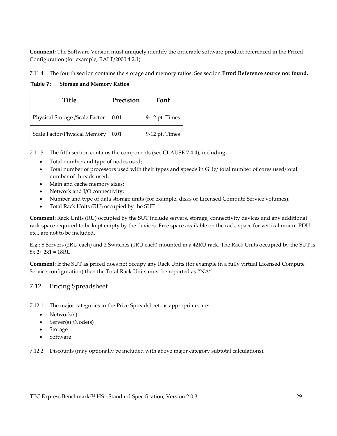**Comment:** The Software Version must uniquely identify the orderable software product referenced in the Priced Configuration (for example, RALF/2000 4.2.1)

7.11.4 The fourth section contains the storage and memory ratios. See section **Error! Reference source not found.**

**Table 7: Storage and Memory Ratios**

| <b>Title</b>                   | Precision | Font           |
|--------------------------------|-----------|----------------|
| Physical Storage /Scale Factor | 0.01      | 9-12 pt. Times |
| Scale Factor/Physical Memory   | 0.01      | 9-12 pt. Times |

7.11.5 The fifth section contains the components (see CLAUS[E 7.4.4\)](#page-22-0), including:

- Total number and type of nodes used;
- Total number of processors used with their types and speeds in GHz/ total number of cores used/total number of threads used;
- Main and cache memory sizes;
- Network and I/O connectivity;
- Number and type of data storage units (for example, disks or Licensed Compute Service volumes);
- Total Rack Units (RU) occupied by the SUT

**Comment:** Rack Units (RU) occupied by the SUT include servers, storage, connectivity devices and any additional rack space required to be kept empty by the devices. Free space available on the rack, space for vertical mount PDU etc., are not to be included.

E.g.: 8 Servers (2RU each) and 2 Switches (1RU each) mounted in a 42RU rack. The Rack Units occupied by the SUT is  $8x 2+ 2x1 = 18RU$ 

**Comment**: If the SUT as priced does not occupy any Rack Units (for example in a fully virtual Licensed Compute Service configuration) then the Total Rack Units must be reported as "NA".

## <span id="page-28-0"></span>7.12 Pricing Spreadsheet

7.12.1 The major categories in the Price Spreadsheet, as appropriate, are:

- Network(s)
- Server(s) /Node(s)
- Storage
- **Software**

7.12.2 Discounts (may optionally be included with above major category subtotal calculations).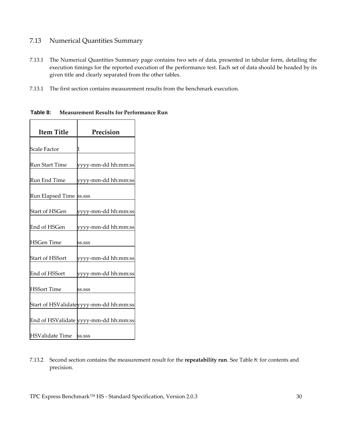## <span id="page-29-0"></span>7.13 Numerical Quantities Summary

- 7.13.1 The Numerical Quantities Summary page contains two sets of data, presented in tabular form, detailing the execution timings for the reported execution of the performance test. Each set of data should be headed by its given title and clearly separated from the other tables.
- 7.13.1 The first section contains measurement results from the benchmark execution.

٦

| <b>Item Title</b>        | Precision                              |  |  |  |
|--------------------------|----------------------------------------|--|--|--|
|                          |                                        |  |  |  |
| Scale Factor             | 1                                      |  |  |  |
| Run Start Time           | yyyy-mm-dd hh:mm:ss                    |  |  |  |
| Run End Time             | yyyy-mm-dd hh:mm:ss                    |  |  |  |
| Run Elapsed Time  ss.sss |                                        |  |  |  |
| <b>Start of HSGen</b>    | yyyy-mm-dd hh:mm:ss                    |  |  |  |
| End of HSGen             | yyyy-mm-dd hh:mm:ss                    |  |  |  |
| <b>HSGen Time</b>        | SS.SSS                                 |  |  |  |
| <b>Start of HSSort</b>   | yyyy-mm-dd hh:mm:ss                    |  |  |  |
| End of HSSort            | yyyy-mm-dd hh:mm:ss                    |  |  |  |
| <b>HSSort Time</b>       | SS.SSS                                 |  |  |  |
|                          | Start of HSValidateyyyy-mm-dd hh:mm:ss |  |  |  |
|                          | End of HSValidate yyyy-mm-dd hh:mm:ss  |  |  |  |
| <b>HSValidate Time</b>   | SS.SSS                                 |  |  |  |

<span id="page-29-1"></span>**Table 8: Measurement Results for Performance Run**

 $\top$ 

 $\Gamma$ 

7.13.2 Second section contains the measurement result for the **repeatability run**. See [Table 8: f](#page-29-1)or contents and precision.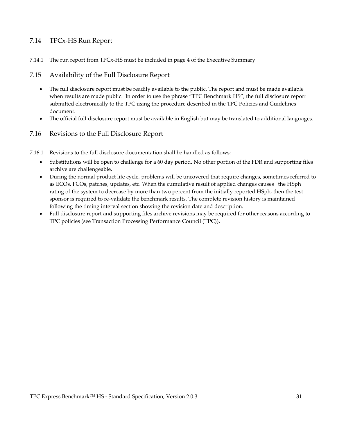### <span id="page-30-0"></span>7.14 TPCx-HS Run Report

7.14.1 The run report from TPCx-HS must be included in page 4 of the Executive Summary

#### <span id="page-30-1"></span>7.15 Availability of the Full Disclosure Report

- The full disclosure report must be readily available to the public. The report and must be made available when results are made public. In order to use the phrase "TPC Benchmark HS", the full disclosure report submitted electronically to the TPC using the procedure described in the TPC Policies and Guidelines document.
- The official full disclosure report must be available in English but may be translated to additional languages.

#### <span id="page-30-2"></span>7.16 Revisions to the Full Disclosure Report

- 7.16.1 Revisions to the full disclosure documentation shall be handled as follows:
	- Substitutions will be open to challenge for a 60 day period. No other portion of the FDR and supporting files archive are challengeable.
	- During the normal product life cycle, problems will be uncovered that require changes, sometimes referred to as ECOs, FCOs, patches, updates, etc. When the cumulative result of applied changes causes the HSph rating of the system to decrease by more than two percent from the initially reported HSph, then the test sponsor is required to re-validate the benchmark results. The complete revision history is maintained following the timing interval section showing the revision date and description.
	- Full disclosure report and supporting files archive revisions may be required for other reasons according to TPC policies (se[e Transaction Processing Performance Council \(TPC\)\)](#page-0-0).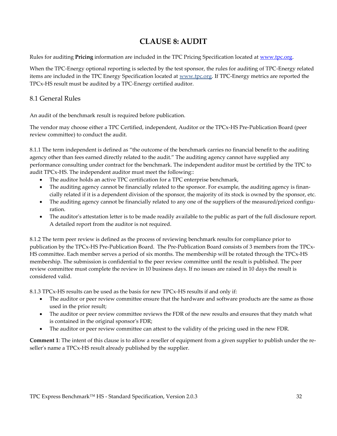## **CLAUSE 8: AUDIT**

<span id="page-31-0"></span>Rules for auditing **Pricing** information are included in the TPC Pricing Specification located at [www.tpc.org.](http://www.tpc.org/)

When the TPC-Energy optional reporting is selected by the test sponsor, the rules for auditing of TPC-Energy related items are included in the TPC Energy Specification located at [www.tpc.org.](http://www.tpc.org/) If TPC-Energy metrics are reported the TPCx-HS result must be audited by a TPC-Energy certified auditor.

## <span id="page-31-1"></span>8.1 General Rules

An audit of the benchmark result is required before publication.

The vendor may choose either a TPC Certified, independent, Auditor or the TPCx-HS Pre-Publication Board (peer review committee) to conduct the audit.

8.1.1 The term independent is defined as "the outcome of the benchmark carries no financial benefit to the auditing agency other than fees earned directly related to the audit." The auditing agency cannot have supplied any performance consulting under contract for the benchmark. The independent auditor must be certified by the TPC to audit TPCx-HS. The independent auditor must meet the following::

- The auditor holds an active TPC certification for a TPC enterprise benchmark,
- The auditing agency cannot be financially related to the sponsor. For example, the auditing agency is financially related if it is a dependent division of the sponsor, the majority of its stock is owned by the sponsor, etc.
- The auditing agency cannot be financially related to any one of the suppliers of the measured/priced configuration.
- The auditor's attestation letter is to be made readily available to the public as part of the full disclosure report. A detailed report from the auditor is not required.

8.1.2 The term peer review is defined as the process of reviewing benchmark results for compliance prior to publication by the TPCx-HS Pre-Publication Board. The Pre-Publication Board consists of 3 members from the TPCx-HS committee. Each member serves a period of six months. The membership will be rotated through the TPCx-HS membership. The submission is confidential to the peer review committee until the result is published. The peer review committee must complete the review in 10 business days. If no issues are raised in 10 days the result is considered valid.

8.1.3 TPCx-HS results can be used as the basis for new TPCx-HS results if and only if:

- The auditor or peer review committee ensure that the hardware and software products are the same as those used in the prior result;
- The auditor or peer review committee reviews the FDR of the new results and ensures that they match what is contained in the original sponsor's FDR;
- The auditor or peer review committee can attest to the validity of the pricing used in the new FDR.

**Comment 1**: The intent of this clause is to allow a reseller of equipment from a given supplier to publish under the reseller's name a TPCx-HS result already published by the supplier.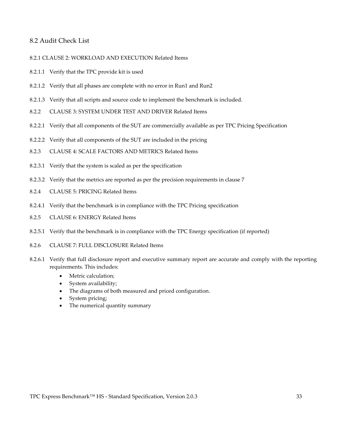#### <span id="page-32-0"></span>8.2 Audit Check List

<span id="page-32-1"></span>8.2.[1 CLAUSE 2: WORKLOAD AND EXECUTION](#page-8-0) Related Items

- 8.2.1.1 Verify that the TPC provide kit is used
- 8.2.1.2 Verify that all phases are complete with no error in Run1 and Run2
- 8.2.1.3 Verify that all scripts and source code to implement the benchmark is included.
- <span id="page-32-2"></span>8.2.2 [CLAUSE 3: SYSTEM UNDER TEST AND DRIVER](#page-12-0) Related Items
- 8.2.2.1 Verify that all components of the SUT are commercially available as per TPC Pricing Specification
- 8.2.2.2 Verify that all components of the SUT are included in the pricing
- <span id="page-32-3"></span>8.2.3 CLAUSE 4: [SCALE FACTORS AND METRICS](#page-14-0) Related Items
- 8.2.3.1 Verify that the system is scaled as per the specification
- 8.2.3.2 Verify that the metrics are reported as per the precision requirements in clause 7
- <span id="page-32-4"></span>8.2.4 [CLAUSE 5: PRICING](#page-16-0) Related Items
- 8.2.4.1 Verify that the benchmark is in compliance with the TPC Pricing specification
- <span id="page-32-5"></span>8.2.5 [CLAUSE 6: ENERGY](#page-18-0) Related Items
- 8.2.5.1 Verify that the benchmark is in compliance with the TPC Energy specification (if reported)
- 8.2.6 [CLAUSE 7: FULL DISCLOSURE](#page-21-0) Related Items
- 8.2.6.1 Verify that full disclosure report and executive summary report are accurate and comply with the reporting requirements. This includes:
	- Metric calculation;
	- System availability;
	- The diagrams of both measured and priced configuration.
	- System pricing;
	- The numerical quantity summary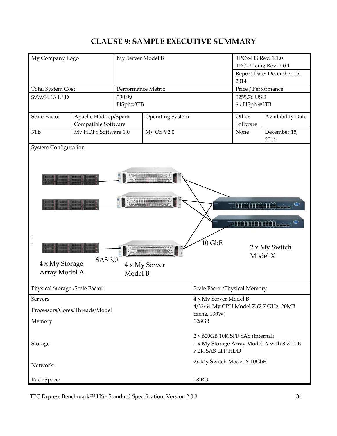## **CLAUSE 9: SAMPLE EXECUTIVE SUMMARY**

<span id="page-33-0"></span>

| My Company Logo                                |                                            | My Server Model B                                                                                 |                         | TPCx-HS Rev. 1.1.0<br>TPC-Pricing Rev. 2.0.1          |              |                           |
|------------------------------------------------|--------------------------------------------|---------------------------------------------------------------------------------------------------|-------------------------|-------------------------------------------------------|--------------|---------------------------|
|                                                |                                            |                                                                                                   |                         |                                                       | 2014         | Report Date: December 15, |
| <b>Total System Cost</b><br>Performance Metric |                                            |                                                                                                   | Price / Performance     |                                                       |              |                           |
| \$99,996.13 USD                                |                                            | 390.99                                                                                            |                         |                                                       | \$255.76 USD |                           |
| HSph@3TB                                       |                                            |                                                                                                   |                         | \$/HSph@3TB                                           |              |                           |
| Scale Factor                                   | Apache Hadoop/Spark<br>Compatible Software |                                                                                                   | <b>Operating System</b> |                                                       |              | <b>Availability Date</b>  |
| 3TB                                            | My HDFS Software 1.0                       |                                                                                                   | My OS V2.0              |                                                       | None         | December 15,<br>2014      |
| 4 x My Storage<br>Array Model A                | SAS 3.0                                    | Model B                                                                                           | 4 x My Server           | 10 GbE                                                |              | 2 x My Switch<br>Model X  |
| Physical Storage /Scale Factor                 |                                            |                                                                                                   |                         | Scale Factor/Physical Memory                          |              |                           |
| Servers                                        |                                            |                                                                                                   |                         | 4 x My Server Model B                                 |              |                           |
|                                                | Processors/Cores/Threads/Model             |                                                                                                   |                         | 4/32/64 My CPU Model Z (2.7 GHz, 20MB<br>cache, 130W) |              |                           |
| Memory                                         |                                            |                                                                                                   |                         | 128GB                                                 |              |                           |
| Storage                                        |                                            | 2 x 600GB 10K SFF SAS (internal)<br>1 x My Storage Array Model A with 8 X 1TB<br>7.2K SAS LFF HDD |                         |                                                       |              |                           |
| Network:                                       |                                            |                                                                                                   |                         | 2x My Switch Model X 10GbE                            |              |                           |
| Rack Space:                                    |                                            |                                                                                                   |                         | <b>18 RU</b>                                          |              |                           |

TPC Express Benchmark<sup>™</sup> HS - Standard Specification, Version 2.0.3 34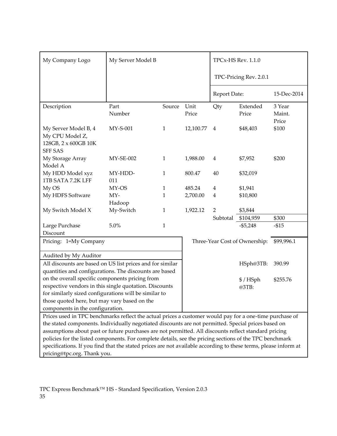| My Company Logo                                                                                                 | My Server Model B |              | TPCx-HS Rev. 1.1.0 |                |                               |                           |
|-----------------------------------------------------------------------------------------------------------------|-------------------|--------------|--------------------|----------------|-------------------------------|---------------------------|
|                                                                                                                 |                   |              |                    |                | TPC-Pricing Rev. 2.0.1        |                           |
|                                                                                                                 |                   |              |                    | Report Date:   |                               | 15-Dec-2014               |
| Description                                                                                                     | Part<br>Number    | Source       | Unit<br>Price      | Qty            | Extended<br>Price             | 3 Year<br>Maint.<br>Price |
| My Server Model B, 4<br>My CPU Model Z,<br>128GB, 2 x 600GB 10K<br><b>SFF SAS</b>                               | $MY-S-001$        | $\mathbf{1}$ | 12,100.77          | 4              | \$48,403                      | \$100                     |
| My Storage Array<br>Model A                                                                                     | $MY-SE-002$       | $\mathbf{1}$ | 1,988.00           | $\overline{4}$ | \$7,952                       | \$200                     |
| My HDD Model xyz<br>1TB SATA 7.2K LFF                                                                           | MY-HDD-<br>011    | $\mathbf{1}$ | 800.47             | 40             | \$32,019                      |                           |
| My OS                                                                                                           | MY-OS             | 1            | 485.24             | 4              | \$1,941                       |                           |
| My HDFS Software                                                                                                | $MY-$             | $\mathbf{1}$ | 2,700.00           | $\overline{4}$ | \$10,800                      |                           |
|                                                                                                                 | Hadoop            |              |                    |                |                               |                           |
| My Switch Model X                                                                                               | My-Switch         | $\mathbf{1}$ | 1,922.12           | $\overline{2}$ | \$3,844                       |                           |
|                                                                                                                 |                   |              |                    | Subtotal       | \$104,959                     | \$300                     |
| Large Purchase                                                                                                  | 5.0%              | $\mathbf{1}$ |                    |                | $- $5,248$                    | $-$ \$15                  |
| Discount                                                                                                        |                   |              |                    |                |                               |                           |
| Pricing: 1=My Company                                                                                           |                   |              |                    |                | Three-Year Cost of Ownership: | \$99,996.1                |
| Audited by My Auditor                                                                                           |                   |              |                    |                |                               |                           |
| All discounts are based on US list prices and for similar                                                       |                   |              |                    |                | HSph@3TB:                     | 390.99                    |
| quantities and configurations. The discounts are based                                                          |                   |              |                    |                |                               |                           |
| on the overall specific components pricing from<br>respective vendors in this single quotation. Discounts       |                   |              |                    |                | \$/HSph                       | \$255.76                  |
| for similarly sized configurations will be similar to                                                           |                   |              |                    |                | @3TB:                         |                           |
| those quoted here, but may vary based on the                                                                    |                   |              |                    |                |                               |                           |
| components in the configuration.                                                                                |                   |              |                    |                |                               |                           |
| Prices used in TPC benchmarks reflect the actual prices a customer would pay for a one-time purchase of         |                   |              |                    |                |                               |                           |
| the stated components. Individually negotiated discounts are not permitted. Special prices based on             |                   |              |                    |                |                               |                           |
| assumptions about past or future purchases are not permitted. All discounts reflect standard pricing            |                   |              |                    |                |                               |                           |
| policies for the listed components. For complete details, see the pricing sections of the TPC benchmark         |                   |              |                    |                |                               |                           |
| specifications. If you find that the stated prices are not available according to these terms, please inform at |                   |              |                    |                |                               |                           |
| pricing@tpc.org. Thank you.                                                                                     |                   |              |                    |                |                               |                           |